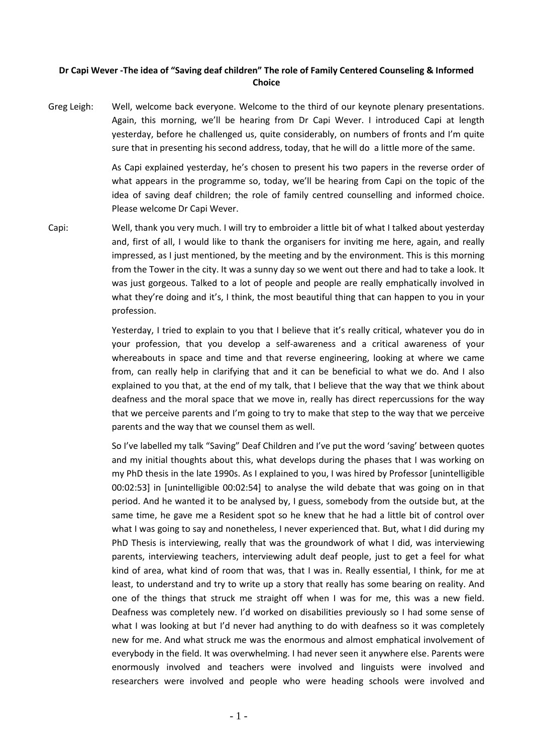## **Dr Capi Wever -The idea of "Saving deaf children" The role of Family Centered Counseling & Informed Choice**

Greg Leigh: Well, welcome back everyone. Welcome to the third of our keynote plenary presentations. Again, this morning, we'll be hearing from Dr Capi Wever. I introduced Capi at length yesterday, before he challenged us, quite considerably, on numbers of fronts and I'm quite sure that in presenting his second address, today, that he will do a little more of the same.

> As Capi explained yesterday, he's chosen to present his two papers in the reverse order of what appears in the programme so, today, we'll be hearing from Capi on the topic of the idea of saving deaf children; the role of family centred counselling and informed choice. Please welcome Dr Capi Wever.

Capi: Well, thank you very much. I will try to embroider a little bit of what I talked about yesterday and, first of all, I would like to thank the organisers for inviting me here, again, and really impressed, as I just mentioned, by the meeting and by the environment. This is this morning from the Tower in the city. It was a sunny day so we went out there and had to take a look. It was just gorgeous. Talked to a lot of people and people are really emphatically involved in what they're doing and it's, I think, the most beautiful thing that can happen to you in your profession.

> Yesterday, I tried to explain to you that I believe that it's really critical, whatever you do in your profession, that you develop a self-awareness and a critical awareness of your whereabouts in space and time and that reverse engineering, looking at where we came from, can really help in clarifying that and it can be beneficial to what we do. And I also explained to you that, at the end of my talk, that I believe that the way that we think about deafness and the moral space that we move in, really has direct repercussions for the way that we perceive parents and I'm going to try to make that step to the way that we perceive parents and the way that we counsel them as well.

> So I've labelled my talk "Saving" Deaf Children and I've put the word 'saving' between quotes and my initial thoughts about this, what develops during the phases that I was working on my PhD thesis in the late 1990s. As I explained to you, I was hired by Professor [unintelligible 00:02:53] in [unintelligible 00:02:54] to analyse the wild debate that was going on in that period. And he wanted it to be analysed by, I guess, somebody from the outside but, at the same time, he gave me a Resident spot so he knew that he had a little bit of control over what I was going to say and nonetheless, I never experienced that. But, what I did during my PhD Thesis is interviewing, really that was the groundwork of what I did, was interviewing parents, interviewing teachers, interviewing adult deaf people, just to get a feel for what kind of area, what kind of room that was, that I was in. Really essential, I think, for me at least, to understand and try to write up a story that really has some bearing on reality. And one of the things that struck me straight off when I was for me, this was a new field. Deafness was completely new. I'd worked on disabilities previously so I had some sense of what I was looking at but I'd never had anything to do with deafness so it was completely new for me. And what struck me was the enormous and almost emphatical involvement of everybody in the field. It was overwhelming. I had never seen it anywhere else. Parents were enormously involved and teachers were involved and linguists were involved and researchers were involved and people who were heading schools were involved and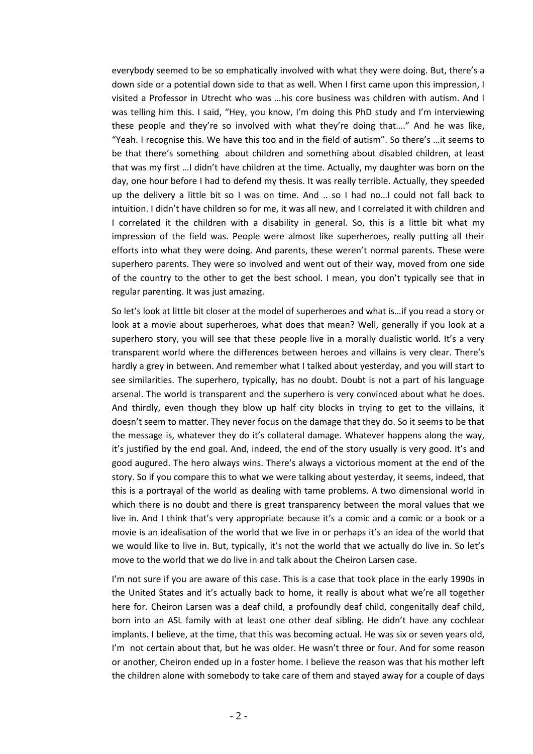everybody seemed to be so emphatically involved with what they were doing. But, there's a down side or a potential down side to that as well. When I first came upon this impression, I visited a Professor in Utrecht who was …his core business was children with autism. And I was telling him this. I said, "Hey, you know, I'm doing this PhD study and I'm interviewing these people and they're so involved with what they're doing that…." And he was like, "Yeah. I recognise this. We have this too and in the field of autism". So there's …it seems to be that there's something about children and something about disabled children, at least that was my first …I didn't have children at the time. Actually, my daughter was born on the day, one hour before I had to defend my thesis. It was really terrible. Actually, they speeded up the delivery a little bit so I was on time. And .. so I had no…I could not fall back to intuition. I didn't have children so for me, it was all new, and I correlated it with children and I correlated it the children with a disability in general. So, this is a little bit what my impression of the field was. People were almost like superheroes, really putting all their efforts into what they were doing. And parents, these weren't normal parents. These were superhero parents. They were so involved and went out of their way, moved from one side of the country to the other to get the best school. I mean, you don't typically see that in regular parenting. It was just amazing.

So let's look at little bit closer at the model of superheroes and what is…if you read a story or look at a movie about superheroes, what does that mean? Well, generally if you look at a superhero story, you will see that these people live in a morally dualistic world. It's a very transparent world where the differences between heroes and villains is very clear. There's hardly a grey in between. And remember what I talked about yesterday, and you will start to see similarities. The superhero, typically, has no doubt. Doubt is not a part of his language arsenal. The world is transparent and the superhero is very convinced about what he does. And thirdly, even though they blow up half city blocks in trying to get to the villains, it doesn't seem to matter. They never focus on the damage that they do. So it seems to be that the message is, whatever they do it's collateral damage. Whatever happens along the way, it's justified by the end goal. And, indeed, the end of the story usually is very good. It's and good augured. The hero always wins. There's always a victorious moment at the end of the story. So if you compare this to what we were talking about yesterday, it seems, indeed, that this is a portrayal of the world as dealing with tame problems. A two dimensional world in which there is no doubt and there is great transparency between the moral values that we live in. And I think that's very appropriate because it's a comic and a comic or a book or a movie is an idealisation of the world that we live in or perhaps it's an idea of the world that we would like to live in. But, typically, it's not the world that we actually do live in. So let's move to the world that we do live in and talk about the Cheiron Larsen case.

I'm not sure if you are aware of this case. This is a case that took place in the early 1990s in the United States and it's actually back to home, it really is about what we're all together here for. Cheiron Larsen was a deaf child, a profoundly deaf child, congenitally deaf child, born into an ASL family with at least one other deaf sibling. He didn't have any cochlear implants. I believe, at the time, that this was becoming actual. He was six or seven years old, I'm not certain about that, but he was older. He wasn't three or four. And for some reason or another, Cheiron ended up in a foster home. I believe the reason was that his mother left the children alone with somebody to take care of them and stayed away for a couple of days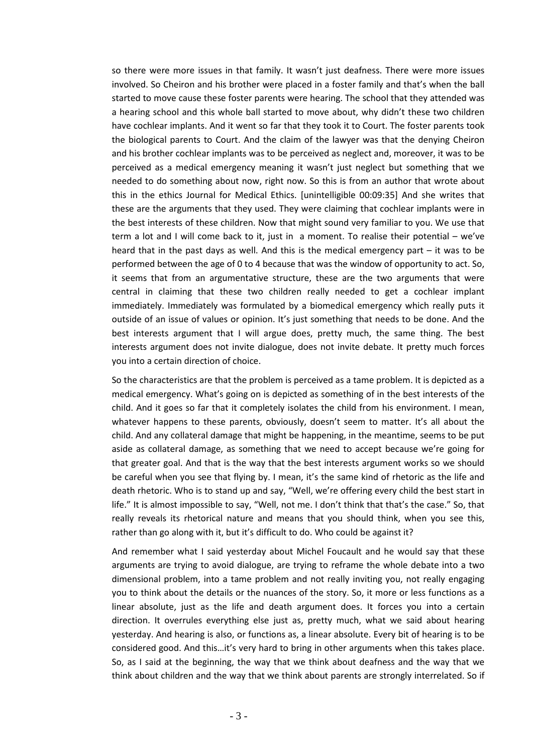so there were more issues in that family. It wasn't just deafness. There were more issues involved. So Cheiron and his brother were placed in a foster family and that's when the ball started to move cause these foster parents were hearing. The school that they attended was a hearing school and this whole ball started to move about, why didn't these two children have cochlear implants. And it went so far that they took it to Court. The foster parents took the biological parents to Court. And the claim of the lawyer was that the denying Cheiron and his brother cochlear implants was to be perceived as neglect and, moreover, it was to be perceived as a medical emergency meaning it wasn't just neglect but something that we needed to do something about now, right now. So this is from an author that wrote about this in the ethics Journal for Medical Ethics. [unintelligible 00:09:35] And she writes that these are the arguments that they used. They were claiming that cochlear implants were in the best interests of these children. Now that might sound very familiar to you. We use that term a lot and I will come back to it, just in a moment. To realise their potential – we've heard that in the past days as well. And this is the medical emergency part – it was to be performed between the age of 0 to 4 because that was the window of opportunity to act. So, it seems that from an argumentative structure, these are the two arguments that were central in claiming that these two children really needed to get a cochlear implant immediately. Immediately was formulated by a biomedical emergency which really puts it outside of an issue of values or opinion. It's just something that needs to be done. And the best interests argument that I will argue does, pretty much, the same thing. The best interests argument does not invite dialogue, does not invite debate. It pretty much forces you into a certain direction of choice.

So the characteristics are that the problem is perceived as a tame problem. It is depicted as a medical emergency. What's going on is depicted as something of in the best interests of the child. And it goes so far that it completely isolates the child from his environment. I mean, whatever happens to these parents, obviously, doesn't seem to matter. It's all about the child. And any collateral damage that might be happening, in the meantime, seems to be put aside as collateral damage, as something that we need to accept because we're going for that greater goal. And that is the way that the best interests argument works so we should be careful when you see that flying by. I mean, it's the same kind of rhetoric as the life and death rhetoric. Who is to stand up and say, "Well, we're offering every child the best start in life." It is almost impossible to say, "Well, not me. I don't think that that's the case." So, that really reveals its rhetorical nature and means that you should think, when you see this, rather than go along with it, but it's difficult to do. Who could be against it?

And remember what I said yesterday about Michel Foucault and he would say that these arguments are trying to avoid dialogue, are trying to reframe the whole debate into a two dimensional problem, into a tame problem and not really inviting you, not really engaging you to think about the details or the nuances of the story. So, it more or less functions as a linear absolute, just as the life and death argument does. It forces you into a certain direction. It overrules everything else just as, pretty much, what we said about hearing yesterday. And hearing is also, or functions as, a linear absolute. Every bit of hearing is to be considered good. And this…it's very hard to bring in other arguments when this takes place. So, as I said at the beginning, the way that we think about deafness and the way that we think about children and the way that we think about parents are strongly interrelated. So if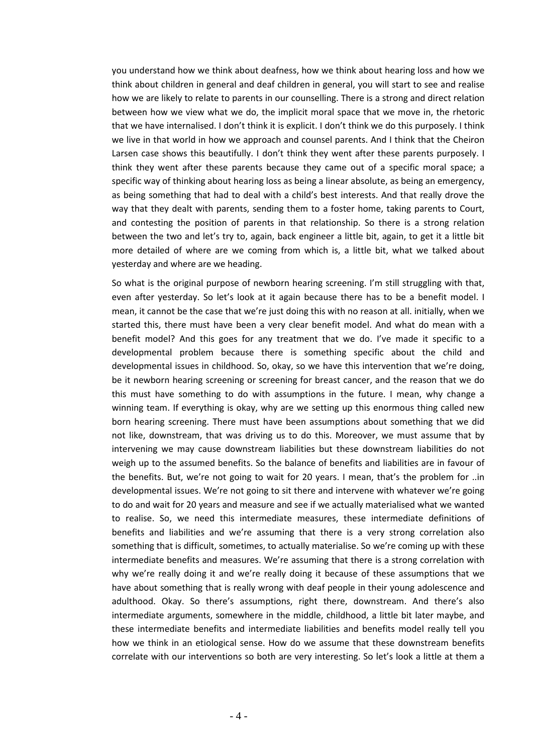you understand how we think about deafness, how we think about hearing loss and how we think about children in general and deaf children in general, you will start to see and realise how we are likely to relate to parents in our counselling. There is a strong and direct relation between how we view what we do, the implicit moral space that we move in, the rhetoric that we have internalised. I don't think it is explicit. I don't think we do this purposely. I think we live in that world in how we approach and counsel parents. And I think that the Cheiron Larsen case shows this beautifully. I don't think they went after these parents purposely. I think they went after these parents because they came out of a specific moral space; a specific way of thinking about hearing loss as being a linear absolute, as being an emergency, as being something that had to deal with a child's best interests. And that really drove the way that they dealt with parents, sending them to a foster home, taking parents to Court, and contesting the position of parents in that relationship. So there is a strong relation between the two and let's try to, again, back engineer a little bit, again, to get it a little bit more detailed of where are we coming from which is, a little bit, what we talked about yesterday and where are we heading.

So what is the original purpose of newborn hearing screening. I'm still struggling with that, even after yesterday. So let's look at it again because there has to be a benefit model. I mean, it cannot be the case that we're just doing this with no reason at all. initially, when we started this, there must have been a very clear benefit model. And what do mean with a benefit model? And this goes for any treatment that we do. I've made it specific to a developmental problem because there is something specific about the child and developmental issues in childhood. So, okay, so we have this intervention that we're doing, be it newborn hearing screening or screening for breast cancer, and the reason that we do this must have something to do with assumptions in the future. I mean, why change a winning team. If everything is okay, why are we setting up this enormous thing called new born hearing screening. There must have been assumptions about something that we did not like, downstream, that was driving us to do this. Moreover, we must assume that by intervening we may cause downstream liabilities but these downstream liabilities do not weigh up to the assumed benefits. So the balance of benefits and liabilities are in favour of the benefits. But, we're not going to wait for 20 years. I mean, that's the problem for ..in developmental issues. We're not going to sit there and intervene with whatever we're going to do and wait for 20 years and measure and see if we actually materialised what we wanted to realise. So, we need this intermediate measures, these intermediate definitions of benefits and liabilities and we're assuming that there is a very strong correlation also something that is difficult, sometimes, to actually materialise. So we're coming up with these intermediate benefits and measures. We're assuming that there is a strong correlation with why we're really doing it and we're really doing it because of these assumptions that we have about something that is really wrong with deaf people in their young adolescence and adulthood. Okay. So there's assumptions, right there, downstream. And there's also intermediate arguments, somewhere in the middle, childhood, a little bit later maybe, and these intermediate benefits and intermediate liabilities and benefits model really tell you how we think in an etiological sense. How do we assume that these downstream benefits correlate with our interventions so both are very interesting. So let's look a little at them a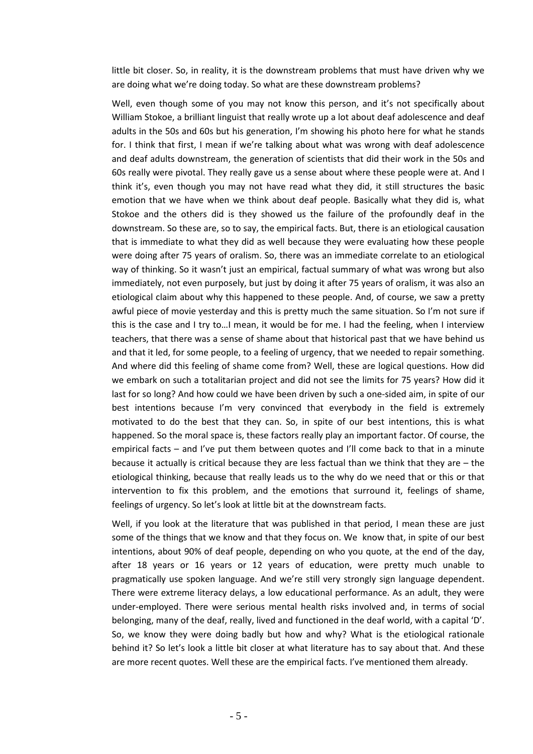little bit closer. So, in reality, it is the downstream problems that must have driven why we are doing what we're doing today. So what are these downstream problems?

Well, even though some of you may not know this person, and it's not specifically about William Stokoe, a brilliant linguist that really wrote up a lot about deaf adolescence and deaf adults in the 50s and 60s but his generation, I'm showing his photo here for what he stands for. I think that first, I mean if we're talking about what was wrong with deaf adolescence and deaf adults downstream, the generation of scientists that did their work in the 50s and 60s really were pivotal. They really gave us a sense about where these people were at. And I think it's, even though you may not have read what they did, it still structures the basic emotion that we have when we think about deaf people. Basically what they did is, what Stokoe and the others did is they showed us the failure of the profoundly deaf in the downstream. So these are, so to say, the empirical facts. But, there is an etiological causation that is immediate to what they did as well because they were evaluating how these people were doing after 75 years of oralism. So, there was an immediate correlate to an etiological way of thinking. So it wasn't just an empirical, factual summary of what was wrong but also immediately, not even purposely, but just by doing it after 75 years of oralism, it was also an etiological claim about why this happened to these people. And, of course, we saw a pretty awful piece of movie yesterday and this is pretty much the same situation. So I'm not sure if this is the case and I try to…I mean, it would be for me. I had the feeling, when I interview teachers, that there was a sense of shame about that historical past that we have behind us and that it led, for some people, to a feeling of urgency, that we needed to repair something. And where did this feeling of shame come from? Well, these are logical questions. How did we embark on such a totalitarian project and did not see the limits for 75 years? How did it last for so long? And how could we have been driven by such a one-sided aim, in spite of our best intentions because I'm very convinced that everybody in the field is extremely motivated to do the best that they can. So, in spite of our best intentions, this is what happened. So the moral space is, these factors really play an important factor. Of course, the empirical facts – and I've put them between quotes and I'll come back to that in a minute because it actually is critical because they are less factual than we think that they are – the etiological thinking, because that really leads us to the why do we need that or this or that intervention to fix this problem, and the emotions that surround it, feelings of shame, feelings of urgency. So let's look at little bit at the downstream facts.

Well, if you look at the literature that was published in that period, I mean these are just some of the things that we know and that they focus on. We know that, in spite of our best intentions, about 90% of deaf people, depending on who you quote, at the end of the day, after 18 years or 16 years or 12 years of education, were pretty much unable to pragmatically use spoken language. And we're still very strongly sign language dependent. There were extreme literacy delays, a low educational performance. As an adult, they were under-employed. There were serious mental health risks involved and, in terms of social belonging, many of the deaf, really, lived and functioned in the deaf world, with a capital 'D'. So, we know they were doing badly but how and why? What is the etiological rationale behind it? So let's look a little bit closer at what literature has to say about that. And these are more recent quotes. Well these are the empirical facts. I've mentioned them already.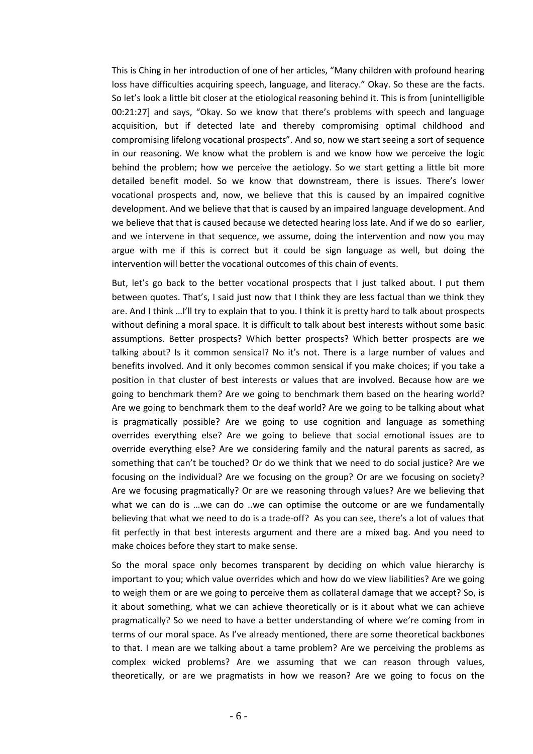This is Ching in her introduction of one of her articles, "Many children with profound hearing loss have difficulties acquiring speech, language, and literacy." Okay. So these are the facts. So let's look a little bit closer at the etiological reasoning behind it. This is from [unintelligible 00:21:27] and says, "Okay. So we know that there's problems with speech and language acquisition, but if detected late and thereby compromising optimal childhood and compromising lifelong vocational prospects". And so, now we start seeing a sort of sequence in our reasoning. We know what the problem is and we know how we perceive the logic behind the problem; how we perceive the aetiology. So we start getting a little bit more detailed benefit model. So we know that downstream, there is issues. There's lower vocational prospects and, now, we believe that this is caused by an impaired cognitive development. And we believe that that is caused by an impaired language development. And we believe that that is caused because we detected hearing loss late. And if we do so earlier, and we intervene in that sequence, we assume, doing the intervention and now you may argue with me if this is correct but it could be sign language as well, but doing the intervention will better the vocational outcomes of this chain of events.

But, let's go back to the better vocational prospects that I just talked about. I put them between quotes. That's, I said just now that I think they are less factual than we think they are. And I think …I'll try to explain that to you. I think it is pretty hard to talk about prospects without defining a moral space. It is difficult to talk about best interests without some basic assumptions. Better prospects? Which better prospects? Which better prospects are we talking about? Is it common sensical? No it's not. There is a large number of values and benefits involved. And it only becomes common sensical if you make choices; if you take a position in that cluster of best interests or values that are involved. Because how are we going to benchmark them? Are we going to benchmark them based on the hearing world? Are we going to benchmark them to the deaf world? Are we going to be talking about what is pragmatically possible? Are we going to use cognition and language as something overrides everything else? Are we going to believe that social emotional issues are to override everything else? Are we considering family and the natural parents as sacred, as something that can't be touched? Or do we think that we need to do social justice? Are we focusing on the individual? Are we focusing on the group? Or are we focusing on society? Are we focusing pragmatically? Or are we reasoning through values? Are we believing that what we can do is ...we can do ..we can optimise the outcome or are we fundamentally believing that what we need to do is a trade-off? As you can see, there's a lot of values that fit perfectly in that best interests argument and there are a mixed bag. And you need to make choices before they start to make sense.

So the moral space only becomes transparent by deciding on which value hierarchy is important to you; which value overrides which and how do we view liabilities? Are we going to weigh them or are we going to perceive them as collateral damage that we accept? So, is it about something, what we can achieve theoretically or is it about what we can achieve pragmatically? So we need to have a better understanding of where we're coming from in terms of our moral space. As I've already mentioned, there are some theoretical backbones to that. I mean are we talking about a tame problem? Are we perceiving the problems as complex wicked problems? Are we assuming that we can reason through values, theoretically, or are we pragmatists in how we reason? Are we going to focus on the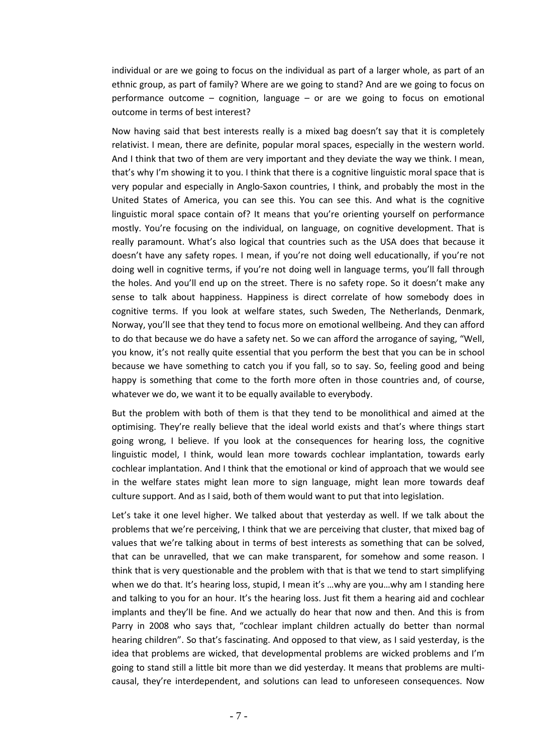individual or are we going to focus on the individual as part of a larger whole, as part of an ethnic group, as part of family? Where are we going to stand? And are we going to focus on performance outcome – cognition, language – or are we going to focus on emotional outcome in terms of best interest?

Now having said that best interests really is a mixed bag doesn't say that it is completely relativist. I mean, there are definite, popular moral spaces, especially in the western world. And I think that two of them are very important and they deviate the way we think. I mean, that's why I'm showing it to you. I think that there is a cognitive linguistic moral space that is very popular and especially in Anglo-Saxon countries, I think, and probably the most in the United States of America, you can see this. You can see this. And what is the cognitive linguistic moral space contain of? It means that you're orienting yourself on performance mostly. You're focusing on the individual, on language, on cognitive development. That is really paramount. What's also logical that countries such as the USA does that because it doesn't have any safety ropes. I mean, if you're not doing well educationally, if you're not doing well in cognitive terms, if you're not doing well in language terms, you'll fall through the holes. And you'll end up on the street. There is no safety rope. So it doesn't make any sense to talk about happiness. Happiness is direct correlate of how somebody does in cognitive terms. If you look at welfare states, such Sweden, The Netherlands, Denmark, Norway, you'll see that they tend to focus more on emotional wellbeing. And they can afford to do that because we do have a safety net. So we can afford the arrogance of saying, "Well, you know, it's not really quite essential that you perform the best that you can be in school because we have something to catch you if you fall, so to say. So, feeling good and being happy is something that come to the forth more often in those countries and, of course, whatever we do, we want it to be equally available to everybody.

But the problem with both of them is that they tend to be monolithical and aimed at the optimising. They're really believe that the ideal world exists and that's where things start going wrong, I believe. If you look at the consequences for hearing loss, the cognitive linguistic model, I think, would lean more towards cochlear implantation, towards early cochlear implantation. And I think that the emotional or kind of approach that we would see in the welfare states might lean more to sign language, might lean more towards deaf culture support. And as I said, both of them would want to put that into legislation.

Let's take it one level higher. We talked about that yesterday as well. If we talk about the problems that we're perceiving, I think that we are perceiving that cluster, that mixed bag of values that we're talking about in terms of best interests as something that can be solved, that can be unravelled, that we can make transparent, for somehow and some reason. I think that is very questionable and the problem with that is that we tend to start simplifying when we do that. It's hearing loss, stupid, I mean it's …why are you…why am I standing here and talking to you for an hour. It's the hearing loss. Just fit them a hearing aid and cochlear implants and they'll be fine. And we actually do hear that now and then. And this is from Parry in 2008 who says that, "cochlear implant children actually do better than normal hearing children". So that's fascinating. And opposed to that view, as I said yesterday, is the idea that problems are wicked, that developmental problems are wicked problems and I'm going to stand still a little bit more than we did yesterday. It means that problems are multicausal, they're interdependent, and solutions can lead to unforeseen consequences. Now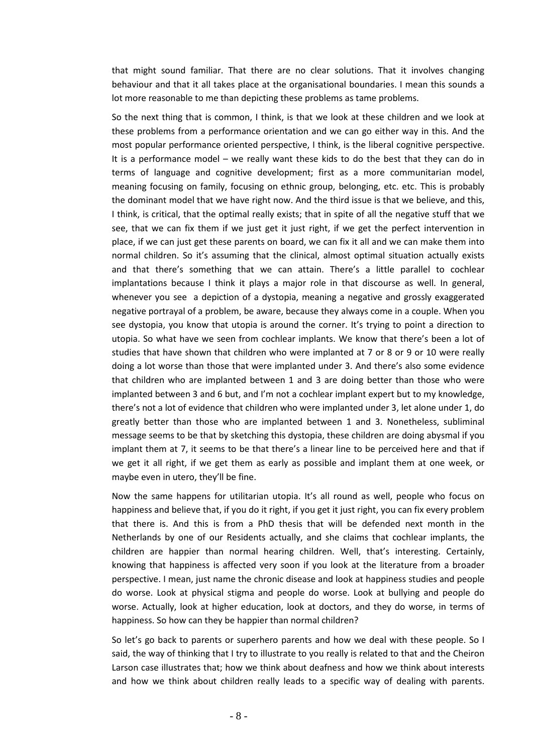that might sound familiar. That there are no clear solutions. That it involves changing behaviour and that it all takes place at the organisational boundaries. I mean this sounds a lot more reasonable to me than depicting these problems as tame problems.

So the next thing that is common, I think, is that we look at these children and we look at these problems from a performance orientation and we can go either way in this. And the most popular performance oriented perspective, I think, is the liberal cognitive perspective. It is a performance model – we really want these kids to do the best that they can do in terms of language and cognitive development; first as a more communitarian model, meaning focusing on family, focusing on ethnic group, belonging, etc. etc. This is probably the dominant model that we have right now. And the third issue is that we believe, and this, I think, is critical, that the optimal really exists; that in spite of all the negative stuff that we see, that we can fix them if we just get it just right, if we get the perfect intervention in place, if we can just get these parents on board, we can fix it all and we can make them into normal children. So it's assuming that the clinical, almost optimal situation actually exists and that there's something that we can attain. There's a little parallel to cochlear implantations because I think it plays a major role in that discourse as well. In general, whenever you see a depiction of a dystopia, meaning a negative and grossly exaggerated negative portrayal of a problem, be aware, because they always come in a couple. When you see dystopia, you know that utopia is around the corner. It's trying to point a direction to utopia. So what have we seen from cochlear implants. We know that there's been a lot of studies that have shown that children who were implanted at 7 or 8 or 9 or 10 were really doing a lot worse than those that were implanted under 3. And there's also some evidence that children who are implanted between 1 and 3 are doing better than those who were implanted between 3 and 6 but, and I'm not a cochlear implant expert but to my knowledge, there's not a lot of evidence that children who were implanted under 3, let alone under 1, do greatly better than those who are implanted between 1 and 3. Nonetheless, subliminal message seems to be that by sketching this dystopia, these children are doing abysmal if you implant them at 7, it seems to be that there's a linear line to be perceived here and that if we get it all right, if we get them as early as possible and implant them at one week, or maybe even in utero, they'll be fine.

Now the same happens for utilitarian utopia. It's all round as well, people who focus on happiness and believe that, if you do it right, if you get it just right, you can fix every problem that there is. And this is from a PhD thesis that will be defended next month in the Netherlands by one of our Residents actually, and she claims that cochlear implants, the children are happier than normal hearing children. Well, that's interesting. Certainly, knowing that happiness is affected very soon if you look at the literature from a broader perspective. I mean, just name the chronic disease and look at happiness studies and people do worse. Look at physical stigma and people do worse. Look at bullying and people do worse. Actually, look at higher education, look at doctors, and they do worse, in terms of happiness. So how can they be happier than normal children?

So let's go back to parents or superhero parents and how we deal with these people. So I said, the way of thinking that I try to illustrate to you really is related to that and the Cheiron Larson case illustrates that; how we think about deafness and how we think about interests and how we think about children really leads to a specific way of dealing with parents.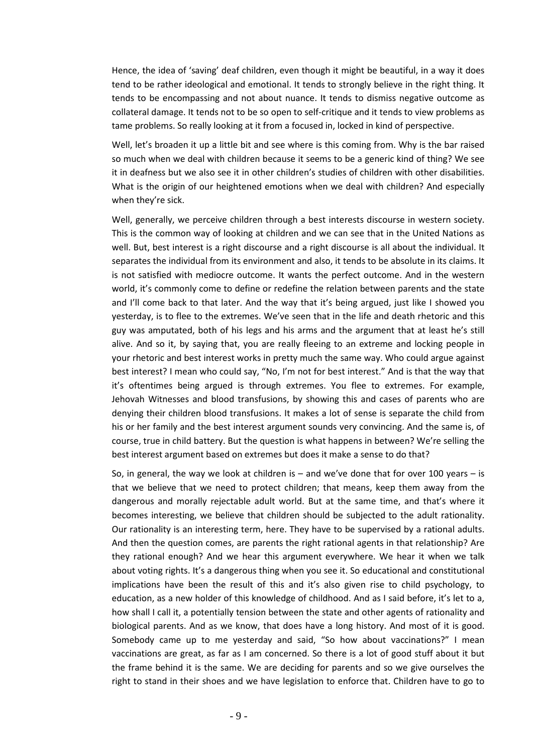Hence, the idea of 'saving' deaf children, even though it might be beautiful, in a way it does tend to be rather ideological and emotional. It tends to strongly believe in the right thing. It tends to be encompassing and not about nuance. It tends to dismiss negative outcome as collateral damage. It tends not to be so open to self-critique and it tends to view problems as tame problems. So really looking at it from a focused in, locked in kind of perspective.

Well, let's broaden it up a little bit and see where is this coming from. Why is the bar raised so much when we deal with children because it seems to be a generic kind of thing? We see it in deafness but we also see it in other children's studies of children with other disabilities. What is the origin of our heightened emotions when we deal with children? And especially when they're sick.

Well, generally, we perceive children through a best interests discourse in western society. This is the common way of looking at children and we can see that in the United Nations as well. But, best interest is a right discourse and a right discourse is all about the individual. It separates the individual from its environment and also, it tends to be absolute in its claims. It is not satisfied with mediocre outcome. It wants the perfect outcome. And in the western world, it's commonly come to define or redefine the relation between parents and the state and I'll come back to that later. And the way that it's being argued, just like I showed you yesterday, is to flee to the extremes. We've seen that in the life and death rhetoric and this guy was amputated, both of his legs and his arms and the argument that at least he's still alive. And so it, by saying that, you are really fleeing to an extreme and locking people in your rhetoric and best interest works in pretty much the same way. Who could argue against best interest? I mean who could say, "No, I'm not for best interest." And is that the way that it's oftentimes being argued is through extremes. You flee to extremes. For example, Jehovah Witnesses and blood transfusions, by showing this and cases of parents who are denying their children blood transfusions. It makes a lot of sense is separate the child from his or her family and the best interest argument sounds very convincing. And the same is, of course, true in child battery. But the question is what happens in between? We're selling the best interest argument based on extremes but does it make a sense to do that?

So, in general, the way we look at children is  $-$  and we've done that for over 100 years  $-$  is that we believe that we need to protect children; that means, keep them away from the dangerous and morally rejectable adult world. But at the same time, and that's where it becomes interesting, we believe that children should be subjected to the adult rationality. Our rationality is an interesting term, here. They have to be supervised by a rational adults. And then the question comes, are parents the right rational agents in that relationship? Are they rational enough? And we hear this argument everywhere. We hear it when we talk about voting rights. It's a dangerous thing when you see it. So educational and constitutional implications have been the result of this and it's also given rise to child psychology, to education, as a new holder of this knowledge of childhood. And as I said before, it's let to a, how shall I call it, a potentially tension between the state and other agents of rationality and biological parents. And as we know, that does have a long history. And most of it is good. Somebody came up to me yesterday and said, "So how about vaccinations?" I mean vaccinations are great, as far as I am concerned. So there is a lot of good stuff about it but the frame behind it is the same. We are deciding for parents and so we give ourselves the right to stand in their shoes and we have legislation to enforce that. Children have to go to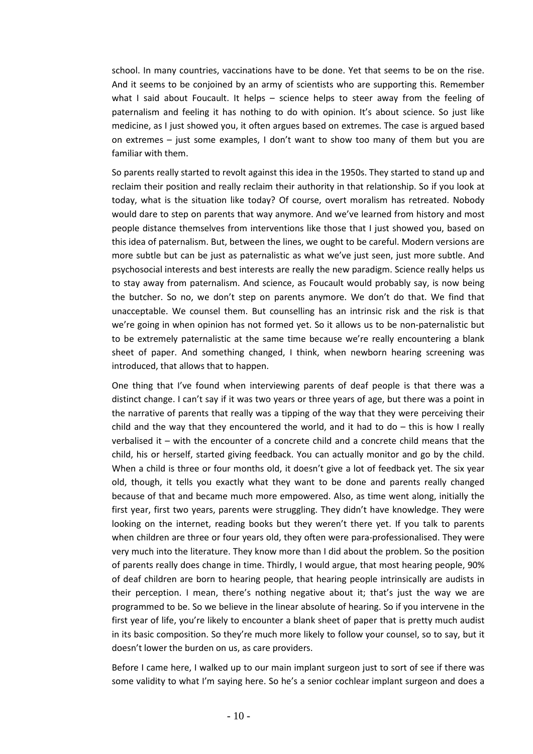school. In many countries, vaccinations have to be done. Yet that seems to be on the rise. And it seems to be conjoined by an army of scientists who are supporting this. Remember what I said about Foucault. It helps – science helps to steer away from the feeling of paternalism and feeling it has nothing to do with opinion. It's about science. So just like medicine, as I just showed you, it often argues based on extremes. The case is argued based on extremes – just some examples, I don't want to show too many of them but you are familiar with them.

So parents really started to revolt against this idea in the 1950s. They started to stand up and reclaim their position and really reclaim their authority in that relationship. So if you look at today, what is the situation like today? Of course, overt moralism has retreated. Nobody would dare to step on parents that way anymore. And we've learned from history and most people distance themselves from interventions like those that I just showed you, based on this idea of paternalism. But, between the lines, we ought to be careful. Modern versions are more subtle but can be just as paternalistic as what we've just seen, just more subtle. And psychosocial interests and best interests are really the new paradigm. Science really helps us to stay away from paternalism. And science, as Foucault would probably say, is now being the butcher. So no, we don't step on parents anymore. We don't do that. We find that unacceptable. We counsel them. But counselling has an intrinsic risk and the risk is that we're going in when opinion has not formed yet. So it allows us to be non-paternalistic but to be extremely paternalistic at the same time because we're really encountering a blank sheet of paper. And something changed, I think, when newborn hearing screening was introduced, that allows that to happen.

One thing that I've found when interviewing parents of deaf people is that there was a distinct change. I can't say if it was two years or three years of age, but there was a point in the narrative of parents that really was a tipping of the way that they were perceiving their child and the way that they encountered the world, and it had to do – this is how I really verbalised it – with the encounter of a concrete child and a concrete child means that the child, his or herself, started giving feedback. You can actually monitor and go by the child. When a child is three or four months old, it doesn't give a lot of feedback yet. The six year old, though, it tells you exactly what they want to be done and parents really changed because of that and became much more empowered. Also, as time went along, initially the first year, first two years, parents were struggling. They didn't have knowledge. They were looking on the internet, reading books but they weren't there yet. If you talk to parents when children are three or four years old, they often were para-professionalised. They were very much into the literature. They know more than I did about the problem. So the position of parents really does change in time. Thirdly, I would argue, that most hearing people, 90% of deaf children are born to hearing people, that hearing people intrinsically are audists in their perception. I mean, there's nothing negative about it; that's just the way we are programmed to be. So we believe in the linear absolute of hearing. So if you intervene in the first year of life, you're likely to encounter a blank sheet of paper that is pretty much audist in its basic composition. So they're much more likely to follow your counsel, so to say, but it doesn't lower the burden on us, as care providers.

Before I came here, I walked up to our main implant surgeon just to sort of see if there was some validity to what I'm saying here. So he's a senior cochlear implant surgeon and does a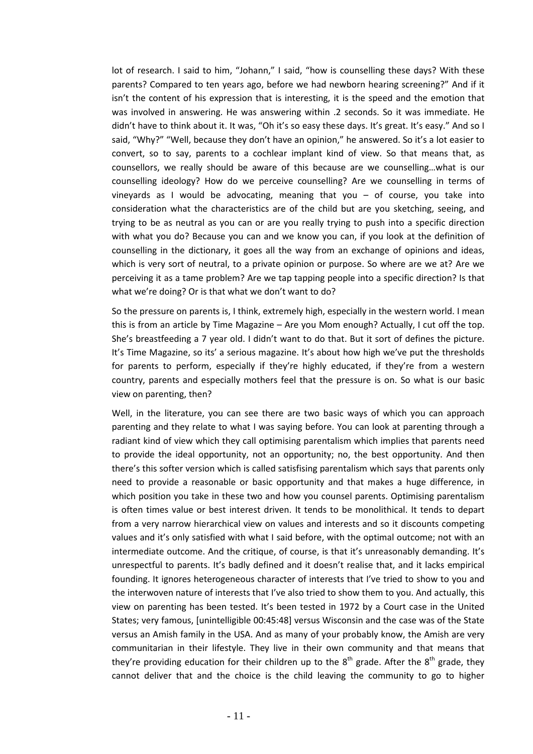lot of research. I said to him, "Johann," I said, "how is counselling these days? With these parents? Compared to ten years ago, before we had newborn hearing screening?" And if it isn't the content of his expression that is interesting, it is the speed and the emotion that was involved in answering. He was answering within .2 seconds. So it was immediate. He didn't have to think about it. It was, "Oh it's so easy these days. It's great. It's easy." And so I said, "Why?" "Well, because they don't have an opinion," he answered. So it's a lot easier to convert, so to say, parents to a cochlear implant kind of view. So that means that, as counsellors, we really should be aware of this because are we counselling…what is our counselling ideology? How do we perceive counselling? Are we counselling in terms of vineyards as I would be advocating, meaning that you – of course, you take into consideration what the characteristics are of the child but are you sketching, seeing, and trying to be as neutral as you can or are you really trying to push into a specific direction with what you do? Because you can and we know you can, if you look at the definition of counselling in the dictionary, it goes all the way from an exchange of opinions and ideas, which is very sort of neutral, to a private opinion or purpose. So where are we at? Are we perceiving it as a tame problem? Are we tap tapping people into a specific direction? Is that what we're doing? Or is that what we don't want to do?

So the pressure on parents is, I think, extremely high, especially in the western world. I mean this is from an article by Time Magazine – Are you Mom enough? Actually, I cut off the top. She's breastfeeding a 7 year old. I didn't want to do that. But it sort of defines the picture. It's Time Magazine, so its' a serious magazine. It's about how high we've put the thresholds for parents to perform, especially if they're highly educated, if they're from a western country, parents and especially mothers feel that the pressure is on. So what is our basic view on parenting, then?

Well, in the literature, you can see there are two basic ways of which you can approach parenting and they relate to what I was saying before. You can look at parenting through a radiant kind of view which they call optimising parentalism which implies that parents need to provide the ideal opportunity, not an opportunity; no, the best opportunity. And then there's this softer version which is called satisfising parentalism which says that parents only need to provide a reasonable or basic opportunity and that makes a huge difference, in which position you take in these two and how you counsel parents. Optimising parentalism is often times value or best interest driven. It tends to be monolithical. It tends to depart from a very narrow hierarchical view on values and interests and so it discounts competing values and it's only satisfied with what I said before, with the optimal outcome; not with an intermediate outcome. And the critique, of course, is that it's unreasonably demanding. It's unrespectful to parents. It's badly defined and it doesn't realise that, and it lacks empirical founding. It ignores heterogeneous character of interests that I've tried to show to you and the interwoven nature of interests that I've also tried to show them to you. And actually, this view on parenting has been tested. It's been tested in 1972 by a Court case in the United States; very famous, [unintelligible 00:45:48] versus Wisconsin and the case was of the State versus an Amish family in the USA. And as many of your probably know, the Amish are very communitarian in their lifestyle. They live in their own community and that means that they're providing education for their children up to the  $8<sup>th</sup>$  grade. After the  $8<sup>th</sup>$  grade, they cannot deliver that and the choice is the child leaving the community to go to higher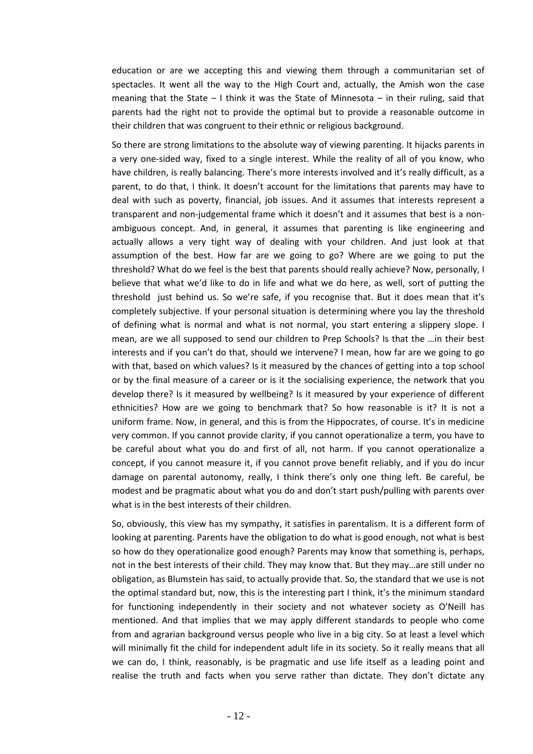education or are we accepting this and viewing them through a communitarian set of spectacles. It went all the way to the High Court and, actually, the Amish won the case meaning that the State – I think it was the State of Minnesota – in their ruling, said that parents had the right not to provide the optimal but to provide a reasonable outcome in their children that was congruent to their ethnic or religious background.

So there are strong limitations to the absolute way of viewing parenting. It hijacks parents in a very one-sided way, fixed to a single interest. While the reality of all of you know, who have children, is really balancing. There's more interests involved and it's really difficult, as a parent, to do that, I think. It doesn't account for the limitations that parents may have to deal with such as poverty, financial, job issues. And it assumes that interests represent a transparent and non-judgemental frame which it doesn't and it assumes that best is a nonambiguous concept. And, in general, it assumes that parenting is like engineering and actually allows a very tight way of dealing with your children. And just look at that assumption of the best. How far are we going to go? Where are we going to put the threshold? What do we feel is the best that parents should really achieve? Now, personally, I believe that what we'd like to do in life and what we do here, as well, sort of putting the threshold just behind us. So we're safe, if you recognise that. But it does mean that it's completely subjective. If your personal situation is determining where you lay the threshold of defining what is normal and what is not normal, you start entering a slippery slope. I mean, are we all supposed to send our children to Prep Schools? Is that the …in their best interests and if you can't do that, should we intervene? I mean, how far are we going to go with that, based on which values? Is it measured by the chances of getting into a top school or by the final measure of a career or is it the socialising experience, the network that you develop there? Is it measured by wellbeing? Is it measured by your experience of different ethnicities? How are we going to benchmark that? So how reasonable is it? It is not a uniform frame. Now, in general, and this is from the Hippocrates, of course. It's in medicine very common. If you cannot provide clarity, if you cannot operationalize a term, you have to be careful about what you do and first of all, not harm. If you cannot operationalize a concept, if you cannot measure it, if you cannot prove benefit reliably, and if you do incur damage on parental autonomy, really, I think there's only one thing left. Be careful, be modest and be pragmatic about what you do and don't start push/pulling with parents over what is in the best interests of their children.

So, obviously, this view has my sympathy, it satisfies in parentalism. It is a different form of looking at parenting. Parents have the obligation to do what is good enough, not what is best so how do they operationalize good enough? Parents may know that something is, perhaps, not in the best interests of their child. They may know that. But they may…are still under no obligation, as Blumstein has said, to actually provide that. So, the standard that we use is not the optimal standard but, now, this is the interesting part I think, it's the minimum standard for functioning independently in their society and not whatever society as O'Neill has mentioned. And that implies that we may apply different standards to people who come from and agrarian background versus people who live in a big city. So at least a level which will minimally fit the child for independent adult life in its society. So it really means that all we can do, I think, reasonably, is be pragmatic and use life itself as a leading point and realise the truth and facts when you serve rather than dictate. They don't dictate any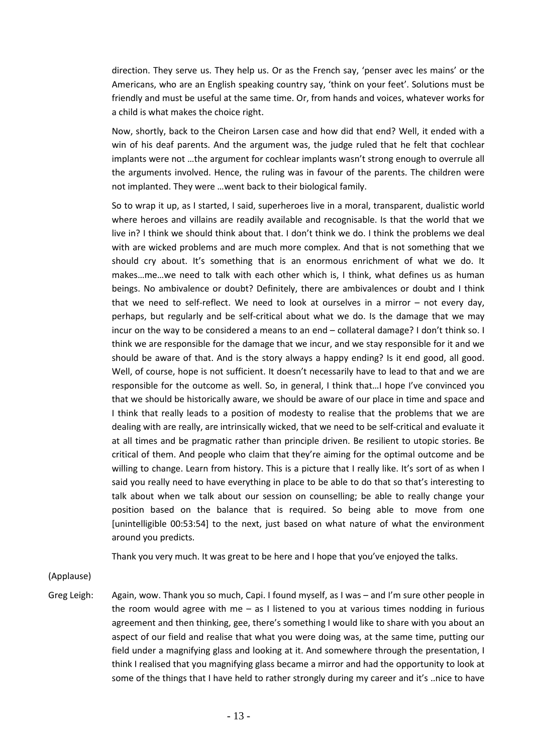direction. They serve us. They help us. Or as the French say, 'penser avec les mains' or the Americans, who are an English speaking country say, 'think on your feet'. Solutions must be friendly and must be useful at the same time. Or, from hands and voices, whatever works for a child is what makes the choice right.

Now, shortly, back to the Cheiron Larsen case and how did that end? Well, it ended with a win of his deaf parents. And the argument was, the judge ruled that he felt that cochlear implants were not …the argument for cochlear implants wasn't strong enough to overrule all the arguments involved. Hence, the ruling was in favour of the parents. The children were not implanted. They were …went back to their biological family.

So to wrap it up, as I started, I said, superheroes live in a moral, transparent, dualistic world where heroes and villains are readily available and recognisable. Is that the world that we live in? I think we should think about that. I don't think we do. I think the problems we deal with are wicked problems and are much more complex. And that is not something that we should cry about. It's something that is an enormous enrichment of what we do. It makes…me…we need to talk with each other which is, I think, what defines us as human beings. No ambivalence or doubt? Definitely, there are ambivalences or doubt and I think that we need to self-reflect. We need to look at ourselves in a mirror – not every day, perhaps, but regularly and be self-critical about what we do. Is the damage that we may incur on the way to be considered a means to an end – collateral damage? I don't think so. I think we are responsible for the damage that we incur, and we stay responsible for it and we should be aware of that. And is the story always a happy ending? Is it end good, all good. Well, of course, hope is not sufficient. It doesn't necessarily have to lead to that and we are responsible for the outcome as well. So, in general, I think that…I hope I've convinced you that we should be historically aware, we should be aware of our place in time and space and I think that really leads to a position of modesty to realise that the problems that we are dealing with are really, are intrinsically wicked, that we need to be self-critical and evaluate it at all times and be pragmatic rather than principle driven. Be resilient to utopic stories. Be critical of them. And people who claim that they're aiming for the optimal outcome and be willing to change. Learn from history. This is a picture that I really like. It's sort of as when I said you really need to have everything in place to be able to do that so that's interesting to talk about when we talk about our session on counselling; be able to really change your position based on the balance that is required. So being able to move from one [unintelligible 00:53:54] to the next, just based on what nature of what the environment around you predicts.

Thank you very much. It was great to be here and I hope that you've enjoyed the talks.

(Applause)

Greg Leigh: Again, wow. Thank you so much, Capi. I found myself, as I was – and I'm sure other people in the room would agree with me  $-$  as I listened to you at various times nodding in furious agreement and then thinking, gee, there's something I would like to share with you about an aspect of our field and realise that what you were doing was, at the same time, putting our field under a magnifying glass and looking at it. And somewhere through the presentation, I think I realised that you magnifying glass became a mirror and had the opportunity to look at some of the things that I have held to rather strongly during my career and it's ..nice to have